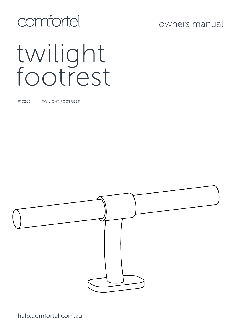## comfortel

# twilight footrest

#10286 TWILIGHT FOOTREST